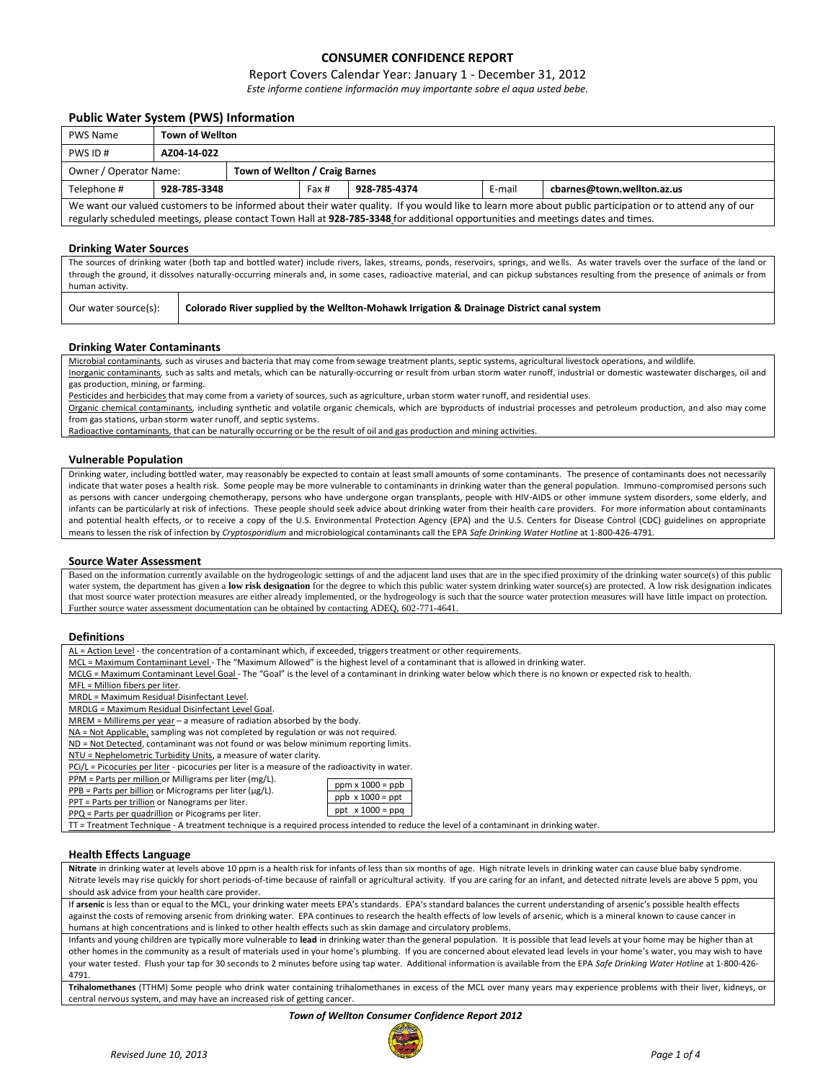# **CONSUMER CONFIDENCE REPORT**

## Report Covers Calendar Year: January 1 - December 31, 2012

*Este informe contiene información muy importante sobre el aqua usted bebe.*

## **Public Water System (PWS) Information**

| <b>PWS Name</b>                                                                                                                                           | <b>Town of Wellton</b>         |  |       |              |        |                            |  |  |
|-----------------------------------------------------------------------------------------------------------------------------------------------------------|--------------------------------|--|-------|--------------|--------|----------------------------|--|--|
| PWS ID#                                                                                                                                                   | AZ04-14-022                    |  |       |              |        |                            |  |  |
| Owner / Operator Name:                                                                                                                                    | Town of Wellton / Craig Barnes |  |       |              |        |                            |  |  |
| Telephone #                                                                                                                                               | 928-785-3348                   |  | Fax # | 928-785-4374 | E-mail | cbarnes@town.wellton.az.us |  |  |
| We want our valued customers to be informed about their water quality. If you would like to learn more about public participation or to attend any of our |                                |  |       |              |        |                            |  |  |
| regularly scheduled meetings, please contact Town Hall at 928-785-3348 for additional opportunities and meetings dates and times.                         |                                |  |       |              |        |                            |  |  |

## **Drinking Water Sources**

The sources of drinking water (both tap and bottled water) include rivers, lakes, streams, ponds, reservoirs, springs, and wells. As water travels over the surface of the land or through the ground, it dissolves naturally-occurring minerals and, in some cases, radioactive material, and can pickup substances resulting from the presence of animals or from human activity.

Our water source(s): **Colorado River supplied by the Wellton-Mohawk Irrigation & Drainage District canal system**

## **Drinking Water Contaminants**

Microbial contaminants*,* such as viruses and bacteria that may come from sewage treatment plants, septic systems, agricultural livestock operations, and wildlife*.* Inorganic contaminants*,* such as salts and metals, which can be naturally-occurring or result from urban storm water runoff, industrial or domestic wastewater discharges, oil and gas production, mining, or farming.

Pesticides and herbicides that may come from a variety of sources, such as agriculture, urban storm water runoff, and residential uses.

Organic chemical contaminants*,* including synthetic and volatile organic chemicals, which are byproducts of industrial processes and petroleum production, and also may come from gas stations, urban storm water runoff, and septic systems.

Radioactive contaminants*,* that can be naturally occurring or be the result of oil and gas production and mining activities.

#### **Vulnerable Population**

Drinking water, including bottled water, may reasonably be expected to contain at least small amounts of some contaminants. The presence of contaminants does not necessarily indicate that water poses a health risk. Some people may be more vulnerable to contaminants in drinking water than the general population. Immuno-compromised persons such as persons with cancer undergoing chemotherapy, persons who have undergone organ transplants, people with HIV-AIDS or other immune system disorders, some elderly, and infants can be particularly at risk of infections. These people should seek advice about drinking water from their health care providers. For more information about contaminants and potential health effects, or to receive a copy of the U.S. Environmental Protection Agency (EPA) and the U.S. Centers for Disease Control (CDC) guidelines on appropriate means to lessen the risk of infection by *Cryptosporidium* and microbiological contaminants call the EPA *Safe Drinking Water Hotline* at 1-800-426-4791.

### **Source Water Assessment**

Based on the information currently available on the hydrogeologic settings of and the adjacent land uses that are in the specified proximity of the drinking water source(s) of this public water system, the department has given a low risk designation for the degree to which this public water system drinking water source(s) are protected. A low risk designation indicates that most source water protection measures are either already implemented, or the hydrogeology is such that the source water protection measures will have little impact on protection. Further source water assessment documentation can be obtained by contacting ADEQ, 602-771-4641.

### **Definitions**

| AL = Action Level - the concentration of a contaminant which, if exceeded, triggers treatment or other requirements. |  |
|----------------------------------------------------------------------------------------------------------------------|--|
|----------------------------------------------------------------------------------------------------------------------|--|

MCL = Maximum Contaminant Level - The "Maximum Allowed" is the highest level of a contaminant that is allowed in drinking water.

MCLG = Maximum Contaminant Level Goal - The "Goal" is the level of a contaminant in drinking water below which there is no known or expected risk to health.

MFL = Million fibers per liter.

MRDL = Maximum Residual Disinfectant Level.

MRDLG = Maximum Residual Disinfectant Level Goal.

MREM = Millirems per year – a measure of radiation absorbed by the body.

NA = Not Applicable, sampling was not completed by regulation or was not required.

ND = Not Detected, contaminant was not found or was below minimum reporting limits.

NTU = Nephelometric Turbidity Units, a measure of water clarity.

PCi/L = Picocuries per liter - picocuries per liter is a measure of the radioactivity in water.

**Product Tarts per liter (mg/L).**<br> **A** illion or Milligrams per liter (mg/L).

|       |  |   | <u>Frivi – Farts per million</u> or ivilingrams per liter (mg |  |  |
|-------|--|---|---------------------------------------------------------------|--|--|
| ----- |  | . |                                                               |  |  |

 $PPB = Parts per billion$  or Micrograms per liter ( $\mu$ g/L). PPT = Parts per trillion or Nanograms per liter. PPQ = Parts per quadrillion or Picograms per liter.

| $ppb \times 1000 = ppt$ |
|-------------------------|
| ppt $\times$ 1000 = ppg |
|                         |

ppm x 1000 = ppb

TT = Treatment Technique - A treatment technique is a required process intended to reduce the level of a contaminant in drinking water.

#### **Health Effects Language**

**Nitrate** in drinking water at levels above 10 ppm is a health risk for infants of less than six months of age. High nitrate levels in drinking water can cause blue baby syndrome. Nitrate levels may rise quickly for short periods-of-time because of rainfall or agricultural activity. If you are caring for an infant, and detected nitrate levels are above 5 ppm, you should ask advice from your health care provider.

If **arsenic** is less than or equal to the MCL, your drinking water meets EPA's standards. EPA's standard balances the current understanding of arsenic's possible health effects against the costs of removing arsenic from drinking water. EPA continues to research the health effects of low levels of arsenic, which is a mineral known to cause cancer in humans at high concentrations and is linked to other health effects such as skin damage and circulatory problems.

Infants and young children are typically more vulnerable to **lead** in drinking water than the general population. It is possible that lead levels at your home may be higher than at other homes in the community as a result of materials used in your home's plumbing. If you are concerned about elevated lead levels in your home's water, you may wish to have your water tested. Flush your tap for 30 seconds to 2 minutes before using tap water. Additional information is available from the EPA *Safe Drinking Water Hotline* at 1-800-426- 4791.

**Trihalomethanes** (TTHM) Some people who drink water containing trihalomethanes in excess of the MCL over many years may experience problems with their liver, kidneys, or central nervous system, and may have an increased risk of getting cancer.

#### *Town of Wellton Consumer Confidence Report 2012*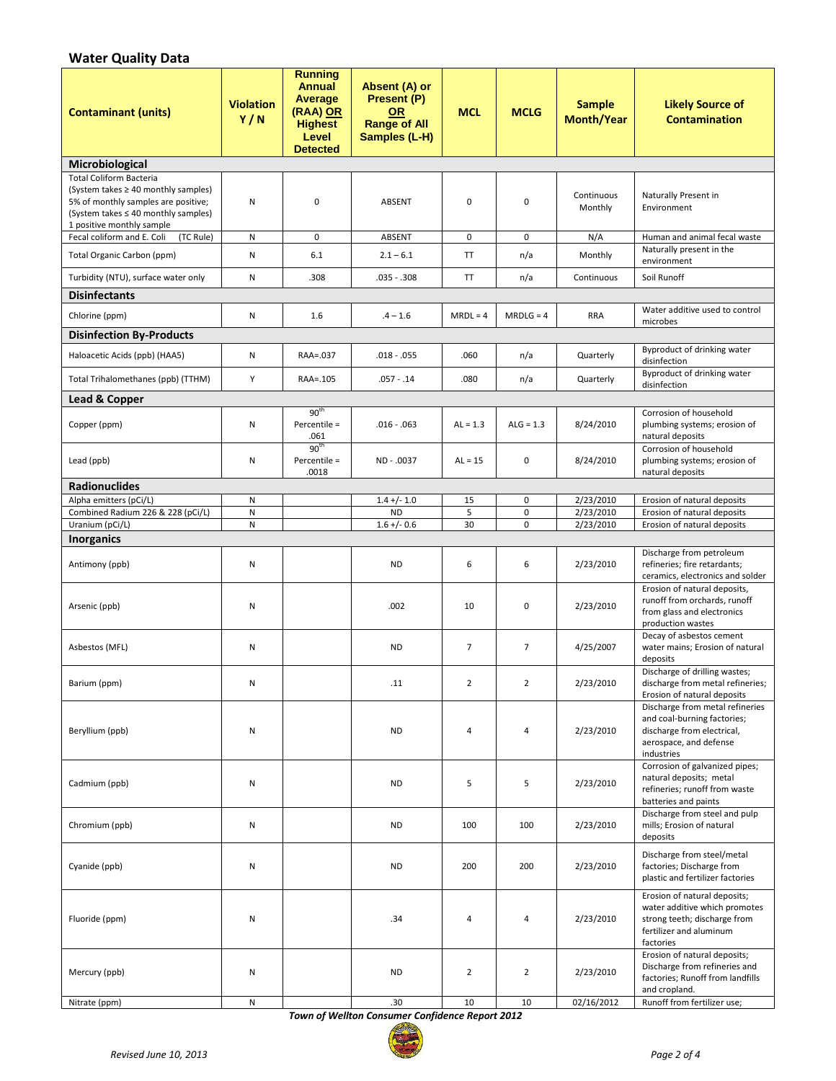# **Water Quality Data**

| <b>Contaminant (units)</b>                                                                                                                                                       | <b>Violation</b><br>Y/N | <b>Running</b><br><b>Annual</b><br>Average<br>(RAA) OR<br><b>Highest</b><br>Level<br><b>Detected</b> | Absent (A) or<br>Present (P)<br><b>OR</b><br><b>Range of All</b><br>Samples (L-H) | <b>MCL</b>     | <b>MCLG</b>              | <b>Sample</b><br><b>Month/Year</b> | <b>Likely Source of</b><br><b>Contamination</b>                                                                                       |
|----------------------------------------------------------------------------------------------------------------------------------------------------------------------------------|-------------------------|------------------------------------------------------------------------------------------------------|-----------------------------------------------------------------------------------|----------------|--------------------------|------------------------------------|---------------------------------------------------------------------------------------------------------------------------------------|
| Microbiological                                                                                                                                                                  |                         |                                                                                                      |                                                                                   |                |                          |                                    |                                                                                                                                       |
| <b>Total Coliform Bacteria</b><br>(System takes ≥ 40 monthly samples)<br>5% of monthly samples are positive;<br>(System takes ≤ 40 monthly samples)<br>1 positive monthly sample | Ν                       | $\mathbf 0$                                                                                          | ABSENT                                                                            | $\mathbf 0$    | $\pmb{0}$                | Continuous<br>Monthly              | Naturally Present in<br>Environment                                                                                                   |
| Fecal coliform and E. Coli<br>(TC Rule)                                                                                                                                          | N                       | 0                                                                                                    | ABSENT                                                                            | $\mathbf 0$    | $\mathbf 0$              | N/A                                | Human and animal fecal waste                                                                                                          |
| Total Organic Carbon (ppm)                                                                                                                                                       | Ν                       | 6.1                                                                                                  | $2.1 - 6.1$                                                                       | TT             | n/a                      | Monthly                            | Naturally present in the<br>environment                                                                                               |
| Turbidity (NTU), surface water only                                                                                                                                              | N                       | .308                                                                                                 | $.035-.308$                                                                       | TT             | n/a                      | Continuous                         | Soil Runoff                                                                                                                           |
| <b>Disinfectants</b>                                                                                                                                                             |                         |                                                                                                      |                                                                                   |                |                          |                                    |                                                                                                                                       |
| Chlorine (ppm)                                                                                                                                                                   | Ν                       | 1.6                                                                                                  | $.4 - 1.6$                                                                        | $MRDL = 4$     | $MRDLG = 4$              | <b>RRA</b>                         | Water additive used to control<br>microbes                                                                                            |
| <b>Disinfection By-Products</b>                                                                                                                                                  |                         |                                                                                                      |                                                                                   |                |                          |                                    |                                                                                                                                       |
| Haloacetic Acids (ppb) (HAA5)                                                                                                                                                    | Ν                       | RAA=.037                                                                                             | $.018 - .055$                                                                     | .060           | n/a                      | Quarterly                          | Byproduct of drinking water<br>disinfection                                                                                           |
| Total Trihalomethanes (ppb) (TTHM)                                                                                                                                               | Y                       | RAA=.105                                                                                             | $.057 - .14$                                                                      | .080           | n/a                      | Quarterly                          | Byproduct of drinking water<br>disinfection                                                                                           |
| Lead & Copper                                                                                                                                                                    |                         |                                                                                                      |                                                                                   |                |                          |                                    |                                                                                                                                       |
| Copper (ppm)                                                                                                                                                                     | Ν                       | 90 <sup>th</sup><br>Percentile =<br>.061                                                             | $.016 - .063$                                                                     | $AL = 1.3$     | $ALG = 1.3$              | 8/24/2010                          | Corrosion of household<br>plumbing systems; erosion of<br>natural deposits                                                            |
| Lead (ppb)                                                                                                                                                                       | Ν                       | 90 <sup>th</sup><br>Percentile =<br>.0018                                                            | ND - .0037                                                                        | $AL = 15$      | 0                        | 8/24/2010                          | Corrosion of household<br>plumbing systems; erosion of<br>natural deposits                                                            |
| <b>Radionuclides</b>                                                                                                                                                             |                         |                                                                                                      |                                                                                   |                |                          |                                    |                                                                                                                                       |
| Alpha emitters (pCi/L)<br>Combined Radium 226 & 228 (pCi/L)                                                                                                                      | N<br>N                  |                                                                                                      | $1.4 + (-1.0)$<br><b>ND</b>                                                       | 15<br>5        | $\pmb{0}$<br>$\mathbf 0$ | 2/23/2010<br>2/23/2010             | Erosion of natural deposits<br>Erosion of natural deposits                                                                            |
| Uranium (pCi/L)                                                                                                                                                                  | N                       |                                                                                                      | $1.6 +/- 0.6$                                                                     | 30             | $\mathbf 0$              | 2/23/2010                          | Erosion of natural deposits                                                                                                           |
| <b>Inorganics</b>                                                                                                                                                                |                         |                                                                                                      |                                                                                   |                |                          |                                    |                                                                                                                                       |
| Antimony (ppb)                                                                                                                                                                   | N                       |                                                                                                      | <b>ND</b>                                                                         | 6              | 6                        | 2/23/2010                          | Discharge from petroleum<br>refineries; fire retardants;<br>ceramics, electronics and solder                                          |
| Arsenic (ppb)                                                                                                                                                                    | Ν                       |                                                                                                      | .002                                                                              | 10             | $\mathbf 0$              | 2/23/2010                          | Erosion of natural deposits,<br>runoff from orchards, runoff<br>from glass and electronics<br>production wastes                       |
| Asbestos (MFL)                                                                                                                                                                   | N                       |                                                                                                      | <b>ND</b>                                                                         | $\overline{7}$ | $\overline{7}$           | 4/25/2007                          | Decay of asbestos cement<br>water mains; Erosion of natural<br>deposits                                                               |
| Barium (ppm)                                                                                                                                                                     | N                       |                                                                                                      | .11                                                                               | $\overline{2}$ | $\overline{2}$           | 2/23/2010                          | Discharge of drilling wastes;<br>discharge from metal refineries;<br>Erosion of natural deposits                                      |
| Beryllium (ppb)                                                                                                                                                                  | Ν                       |                                                                                                      | <b>ND</b>                                                                         | $\overline{4}$ | 4                        | 2/23/2010                          | Discharge from metal refineries<br>and coal-burning factories;<br>discharge from electrical,<br>aerospace, and defense<br>industries  |
| Cadmium (ppb)                                                                                                                                                                    | Ν                       |                                                                                                      | <b>ND</b>                                                                         | 5              | 5                        | 2/23/2010                          | Corrosion of galvanized pipes;<br>natural deposits; metal<br>refineries; runoff from waste<br>batteries and paints                    |
| Chromium (ppb)                                                                                                                                                                   | Ν                       |                                                                                                      | ND                                                                                | 100            | 100                      | 2/23/2010                          | Discharge from steel and pulp<br>mills; Erosion of natural<br>deposits                                                                |
| Cyanide (ppb)                                                                                                                                                                    | Ν                       |                                                                                                      | <b>ND</b>                                                                         | 200            | 200                      | 2/23/2010                          | Discharge from steel/metal<br>factories; Discharge from<br>plastic and fertilizer factories                                           |
| Fluoride (ppm)                                                                                                                                                                   | Ν                       |                                                                                                      | .34                                                                               | 4              | 4                        | 2/23/2010                          | Erosion of natural deposits;<br>water additive which promotes<br>strong teeth; discharge from<br>fertilizer and aluminum<br>factories |
| Mercury (ppb)                                                                                                                                                                    | Ν                       |                                                                                                      | <b>ND</b>                                                                         | $\overline{2}$ | $\overline{2}$           | 2/23/2010                          | Erosion of natural deposits;<br>Discharge from refineries and<br>factories; Runoff from landfills<br>and cropland.                    |
| Nitrate (ppm)                                                                                                                                                                    | N                       |                                                                                                      | .30                                                                               | 10             | 10                       | 02/16/2012                         | Runoff from fertilizer use;                                                                                                           |

*Town of Wellton Consumer Confidence Report 2012*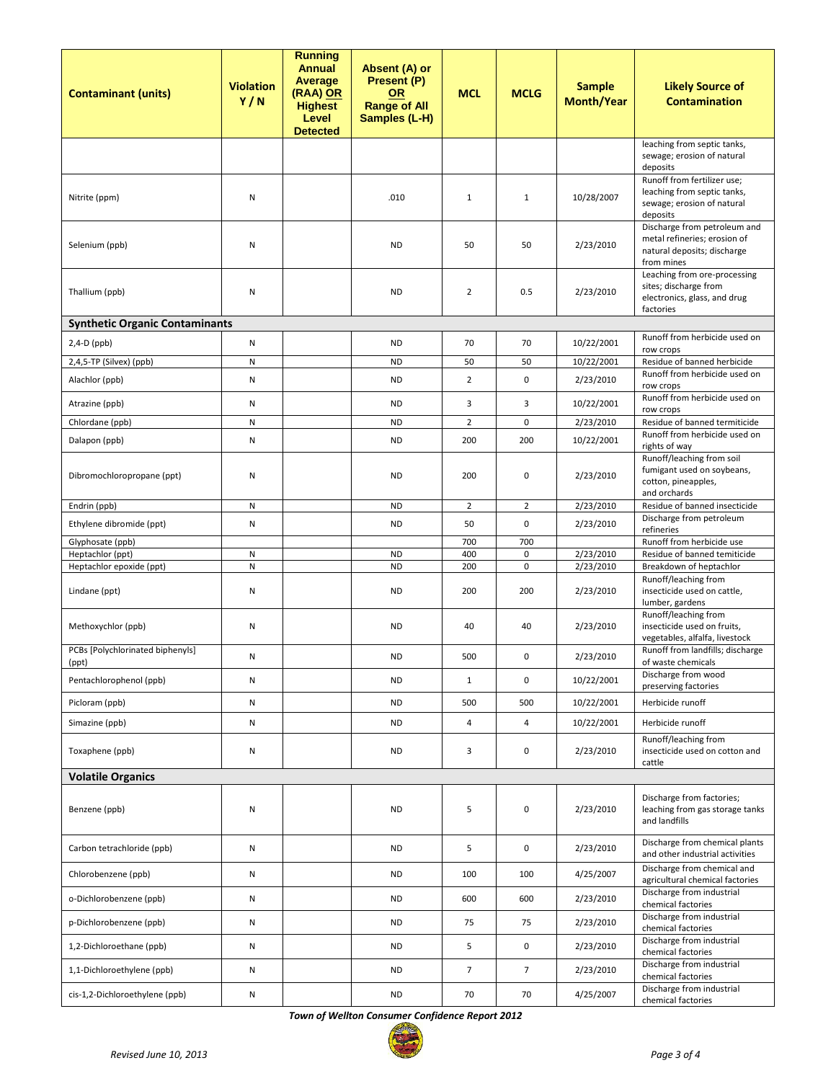| <b>Contaminant (units)</b>                   | <b>Violation</b><br>Y/N | <b>Running</b><br><b>Annual</b><br><b>Average</b><br>(RAA) OR<br><b>Highest</b><br>Level<br><b>Detected</b> | Absent (A) or<br>Present (P)<br><b>OR</b><br><b>Range of All</b><br>Samples (L-H) | <b>MCL</b>     | <b>MCLG</b>                | <b>Sample</b><br><b>Month/Year</b> | <b>Likely Source of</b><br><b>Contamination</b>                                                           |
|----------------------------------------------|-------------------------|-------------------------------------------------------------------------------------------------------------|-----------------------------------------------------------------------------------|----------------|----------------------------|------------------------------------|-----------------------------------------------------------------------------------------------------------|
|                                              |                         |                                                                                                             |                                                                                   |                |                            |                                    | leaching from septic tanks,<br>sewage; erosion of natural<br>deposits                                     |
| Nitrite (ppm)                                | N                       |                                                                                                             | .010                                                                              | $\mathbf{1}$   | $\mathbf{1}$               | 10/28/2007                         | Runoff from fertilizer use;<br>leaching from septic tanks,<br>sewage; erosion of natural<br>deposits      |
| Selenium (ppb)                               | N                       |                                                                                                             | <b>ND</b>                                                                         | 50             | 50                         | 2/23/2010                          | Discharge from petroleum and<br>metal refineries; erosion of<br>natural deposits; discharge<br>from mines |
| Thallium (ppb)                               | N                       |                                                                                                             | <b>ND</b>                                                                         | $\overline{2}$ | 0.5                        | 2/23/2010                          | Leaching from ore-processing<br>sites; discharge from<br>electronics, glass, and drug<br>factories        |
| <b>Synthetic Organic Contaminants</b>        |                         |                                                                                                             |                                                                                   |                |                            |                                    |                                                                                                           |
| $2,4-D$ (ppb)                                | ${\sf N}$               |                                                                                                             | <b>ND</b>                                                                         | 70             | 70                         | 10/22/2001                         | Runoff from herbicide used on<br>row crops                                                                |
| 2,4,5-TP (Silvex) (ppb)                      | ${\sf N}$               |                                                                                                             | <b>ND</b>                                                                         | 50             | 50                         | 10/22/2001                         | Residue of banned herbicide<br>Runoff from herbicide used on                                              |
| Alachlor (ppb)                               | ${\sf N}$               |                                                                                                             | <b>ND</b>                                                                         | $\overline{2}$ | 0                          | 2/23/2010                          | row crops                                                                                                 |
| Atrazine (ppb)                               | N                       |                                                                                                             | <b>ND</b>                                                                         | 3              | 3                          | 10/22/2001                         | Runoff from herbicide used on<br>row crops                                                                |
| Chlordane (ppb)                              | N                       |                                                                                                             | <b>ND</b>                                                                         | $\overline{2}$ | 0                          | 2/23/2010                          | Residue of banned termiticide                                                                             |
| Dalapon (ppb)                                | N                       |                                                                                                             | <b>ND</b>                                                                         | 200            | 200                        | 10/22/2001                         | Runoff from herbicide used on<br>rights of way                                                            |
| Dibromochloropropane (ppt)                   | N                       |                                                                                                             | <b>ND</b>                                                                         | 200            | 0                          | 2/23/2010                          | Runoff/leaching from soil<br>fumigant used on soybeans,<br>cotton, pineapples,<br>and orchards            |
| Endrin (ppb)                                 | ${\sf N}$               |                                                                                                             | <b>ND</b>                                                                         | $\overline{2}$ | $\overline{2}$             | 2/23/2010                          | Residue of banned insecticide                                                                             |
| Ethylene dibromide (ppt)                     | N                       |                                                                                                             | <b>ND</b>                                                                         | 50             | $\mathbf 0$                | 2/23/2010                          | Discharge from petroleum<br>refineries                                                                    |
| Glyphosate (ppb)                             |                         |                                                                                                             |                                                                                   | 700            | 700                        |                                    | Runoff from herbicide use                                                                                 |
| Heptachlor (ppt)<br>Heptachlor epoxide (ppt) | ${\sf N}$<br>${\sf N}$  |                                                                                                             | <b>ND</b><br><b>ND</b>                                                            | 400<br>200     | $\mathbf 0$<br>$\mathbf 0$ | 2/23/2010<br>2/23/2010             | Residue of banned temiticide<br>Breakdown of heptachlor                                                   |
| Lindane (ppt)                                | N                       |                                                                                                             | <b>ND</b>                                                                         | 200            | 200                        | 2/23/2010                          | Runoff/leaching from<br>insecticide used on cattle,<br>lumber, gardens                                    |
| Methoxychlor (ppb)                           | N                       |                                                                                                             | <b>ND</b>                                                                         | 40             | 40                         | 2/23/2010                          | Runoff/leaching from<br>insecticide used on fruits,<br>vegetables, alfalfa, livestock                     |
| PCBs [Polychlorinated biphenyls]<br>(ppt)    | N                       |                                                                                                             | <b>ND</b>                                                                         | 500            | 0                          | 2/23/2010                          | Runoff from landfills; discharge<br>of waste chemicals                                                    |
| Pentachlorophenol (ppb)                      | N                       |                                                                                                             | <b>ND</b>                                                                         | $\mathbf{1}$   | $\pmb{0}$                  | 10/22/2001                         | Discharge from wood<br>preserving factories                                                               |
| Picloram (ppb)                               | N                       |                                                                                                             | <b>ND</b>                                                                         | 500            | 500                        | 10/22/2001                         | Herbicide runoff                                                                                          |
| Simazine (ppb)                               | N                       |                                                                                                             | <b>ND</b>                                                                         | 4              | 4                          | 10/22/2001                         | Herbicide runoff                                                                                          |
| Toxaphene (ppb)                              | N                       |                                                                                                             | <b>ND</b>                                                                         | 3              | $\pmb{0}$                  | 2/23/2010                          | Runoff/leaching from<br>insecticide used on cotton and<br>cattle                                          |
| <b>Volatile Organics</b>                     |                         |                                                                                                             |                                                                                   |                |                            |                                    |                                                                                                           |
| Benzene (ppb)                                | N                       |                                                                                                             | <b>ND</b>                                                                         | 5              | $\pmb{0}$                  | 2/23/2010                          | Discharge from factories;<br>leaching from gas storage tanks<br>and landfills                             |
| Carbon tetrachloride (ppb)                   | N                       |                                                                                                             | <b>ND</b>                                                                         | 5              | $\pmb{0}$                  | 2/23/2010                          | Discharge from chemical plants<br>and other industrial activities                                         |
| Chlorobenzene (ppb)                          | N                       |                                                                                                             | <b>ND</b>                                                                         | 100            | 100                        | 4/25/2007                          | Discharge from chemical and<br>agricultural chemical factories                                            |
| o-Dichlorobenzene (ppb)                      | N                       |                                                                                                             | <b>ND</b>                                                                         | 600            | 600                        | 2/23/2010                          | Discharge from industrial<br>chemical factories                                                           |
| p-Dichlorobenzene (ppb)                      | N                       |                                                                                                             | <b>ND</b>                                                                         | 75             | 75                         | 2/23/2010                          | Discharge from industrial<br>chemical factories                                                           |
| 1,2-Dichloroethane (ppb)                     | N                       |                                                                                                             | <b>ND</b>                                                                         | 5              | $\pmb{0}$                  | 2/23/2010                          | Discharge from industrial<br>chemical factories                                                           |
| 1,1-Dichloroethylene (ppb)                   | N                       |                                                                                                             | <b>ND</b>                                                                         | $\overline{7}$ | $\overline{7}$             | 2/23/2010                          | Discharge from industrial<br>chemical factories                                                           |
| cis-1,2-Dichloroethylene (ppb)               | N                       |                                                                                                             | <b>ND</b>                                                                         | 70             | 70                         | 4/25/2007                          | Discharge from industrial<br>chemical factories                                                           |

*Town of Wellton Consumer Confidence Report 2012*